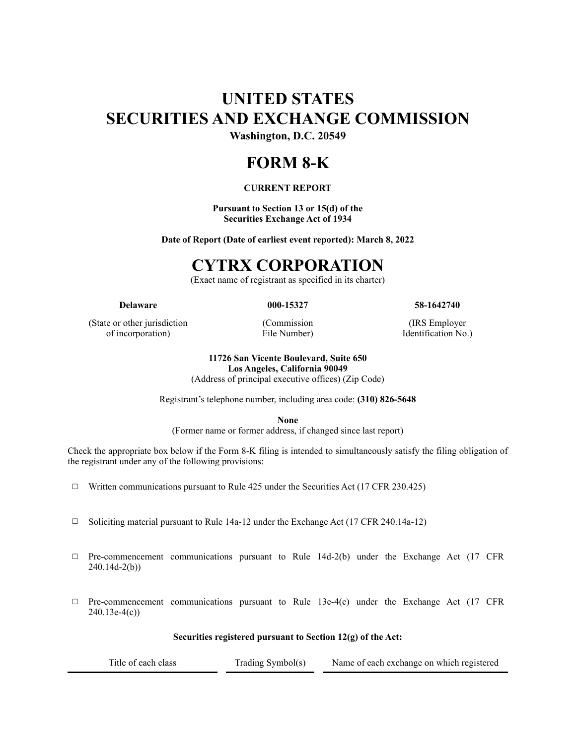# **UNITED STATES SECURITIES AND EXCHANGE COMMISSION**

**Washington, D.C. 20549**

# **FORM 8-K**

# **CURRENT REPORT**

**Pursuant to Section 13 or 15(d) of the Securities Exchange Act of 1934**

**Date of Report (Date of earliest event reported): March 8, 2022**

# **CYTRX CORPORATION**

(Exact name of registrant as specified in its charter)

**Delaware 000-15327 58-1642740**

(State or other jurisdiction of incorporation)

(Commission File Number)

(IRS Employer Identification No.)

#### **11726 San Vicente Boulevard, Suite 650 Los Angeles, California 90049**

(Address of principal executive offices) (Zip Code)

Registrant's telephone number, including area code: **(310) 826-5648**

**None**

(Former name or former address, if changed since last report)

Check the appropriate box below if the Form 8-K filing is intended to simultaneously satisfy the filing obligation of the registrant under any of the following provisions:

- $\Box$  Written communications pursuant to Rule 425 under the Securities Act (17 CFR 230.425)
- ☐ Soliciting material pursuant to Rule 14a-12 under the Exchange Act (17 CFR 240.14a-12)
- $\Box$  Pre-commencement communications pursuant to Rule 14d-2(b) under the Exchange Act (17 CFR 240.14d-2(b))
- $\Box$  Pre-commencement communications pursuant to Rule 13e-4(c) under the Exchange Act (17 CFR 240.13e-4(c))

**Securities registered pursuant to Section 12(g) of the Act:**

| Title of each class | Trading Symbol(s) | Name of each exchange on which registered |
|---------------------|-------------------|-------------------------------------------|
|                     |                   |                                           |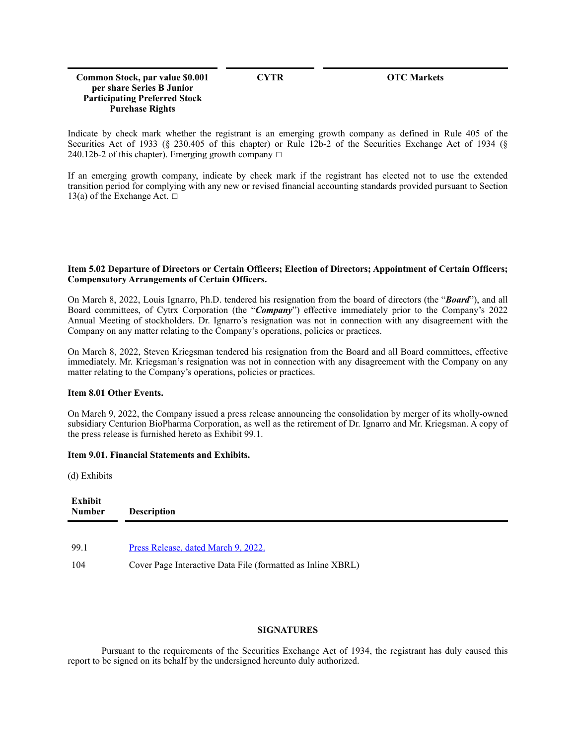### **Common Stock, par value \$0.001 per share Series B Junior Participating Preferred Stock Purchase Rights**

**CYTR OTC Markets**

Indicate by check mark whether the registrant is an emerging growth company as defined in Rule 405 of the Securities Act of 1933 (§ 230.405 of this chapter) or Rule 12b-2 of the Securities Exchange Act of 1934 (§ 240.12b-2 of this chapter). Emerging growth company  $\Box$ 

If an emerging growth company, indicate by check mark if the registrant has elected not to use the extended transition period for complying with any new or revised financial accounting standards provided pursuant to Section 13(a) of the Exchange Act.  $□$ 

### **Item 5.02 Departure of Directors or Certain Officers; Election of Directors; Appointment of Certain Officers; Compensatory Arrangements of Certain Officers.**

On March 8, 2022, Louis Ignarro, Ph.D. tendered his resignation from the board of directors (the "*Board*"), and all Board committees, of Cytrx Corporation (the "*Company*") effective immediately prior to the Company's 2022 Annual Meeting of stockholders. Dr. Ignarro's resignation was not in connection with any disagreement with the Company on any matter relating to the Company's operations, policies or practices.

On March 8, 2022, Steven Kriegsman tendered his resignation from the Board and all Board committees, effective immediately. Mr. Kriegsman's resignation was not in connection with any disagreement with the Company on any matter relating to the Company's operations, policies or practices.

# **Item 8.01 Other Events.**

On March 9, 2022, the Company issued a press release announcing the consolidation by merger of its wholly-owned subsidiary Centurion BioPharma Corporation, as well as the retirement of Dr. Ignarro and Mr. Kriegsman. A copy of the press release is furnished hereto as Exhibit 99.1.

# **Item 9.01. Financial Statements and Exhibits.**

(d) Exhibits

| Exhibit<br><b>Number</b> | <b>Description</b>                                          |
|--------------------------|-------------------------------------------------------------|
| 99.1                     | Press Release, dated March 9, 2022.                         |
| 104                      | Cover Page Interactive Data File (formatted as Inline XBRL) |

# **SIGNATURES**

Pursuant to the requirements of the Securities Exchange Act of 1934, the registrant has duly caused this report to be signed on its behalf by the undersigned hereunto duly authorized.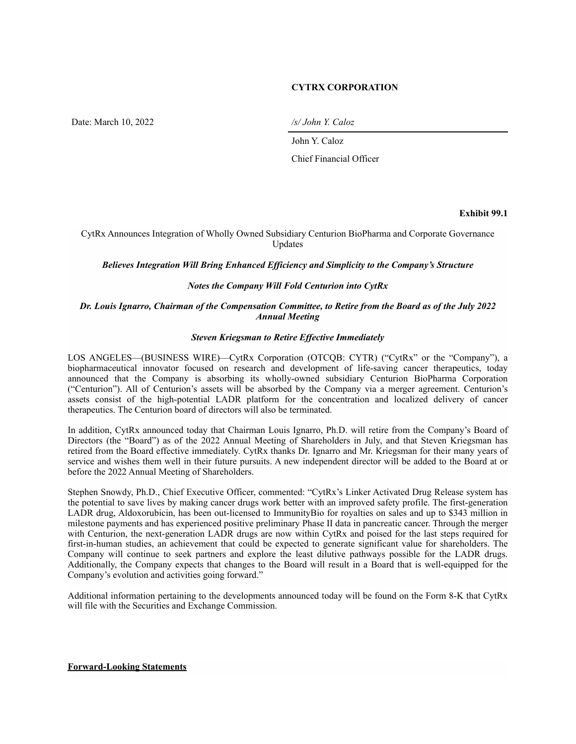# **CYTRX CORPORATION**

Date: March 10, 2022 */s/ John Y. Caloz*

John Y. Caloz

Chief Financial Officer

#### **Exhibit 99.1**

CytRx Announces Integration of Wholly Owned Subsidiary Centurion BioPharma and Corporate Governance Updates

*Believes Integration Will Bring Enhanced Efficiency and Simplicity to the Company's Structure* 

### *Notes the Company Will Fold Centurion into CytRx*

## *Dr. Louis Ignarro, Chairman of the Compensation Committee, to Retire from the Board as of the July 2022 Annual Meeting*

#### *Steven Kriegsman to Retire Effective Immediately*

LOS ANGELES—(BUSINESS WIRE)—CytRx Corporation (OTCQB: CYTR) ("CytRx" or the "Company"), a biopharmaceutical innovator focused on research and development of life-saving cancer therapeutics, today announced that the Company is absorbing its wholly-owned subsidiary Centurion BioPharma Corporation ("Centurion"). All of Centurion's assets will be absorbed by the Company via a merger agreement. Centurion's assets consist of the high-potential LADR platform for the concentration and localized delivery of cancer therapeutics. The Centurion board of directors will also be terminated.

In addition, CytRx announced today that Chairman Louis Ignarro, Ph.D. will retire from the Company's Board of Directors (the "Board") as of the 2022 Annual Meeting of Shareholders in July, and that Steven Kriegsman has retired from the Board effective immediately. CytRx thanks Dr. Ignarro and Mr. Kriegsman for their many years of service and wishes them well in their future pursuits. A new independent director will be added to the Board at or before the 2022 Annual Meeting of Shareholders.

Stephen Snowdy, Ph.D., Chief Executive Officer, commented: "CytRx's Linker Activated Drug Release system has the potential to save lives by making cancer drugs work better with an improved safety profile. The first-generation LADR drug, Aldoxorubicin, has been out-licensed to ImmunityBio for royalties on sales and up to \$343 million in milestone payments and has experienced positive preliminary Phase II data in pancreatic cancer. Through the merger with Centurion, the next-generation LADR drugs are now within CytRx and poised for the last steps required for first-in-human studies, an achievement that could be expected to generate significant value for shareholders. The Company will continue to seek partners and explore the least dilutive pathways possible for the LADR drugs. Additionally, the Company expects that changes to the Board will result in a Board that is well-equipped for the Company's evolution and activities going forward."

Additional information pertaining to the developments announced today will be found on the Form 8-K that CytRx will file with the Securities and Exchange Commission.